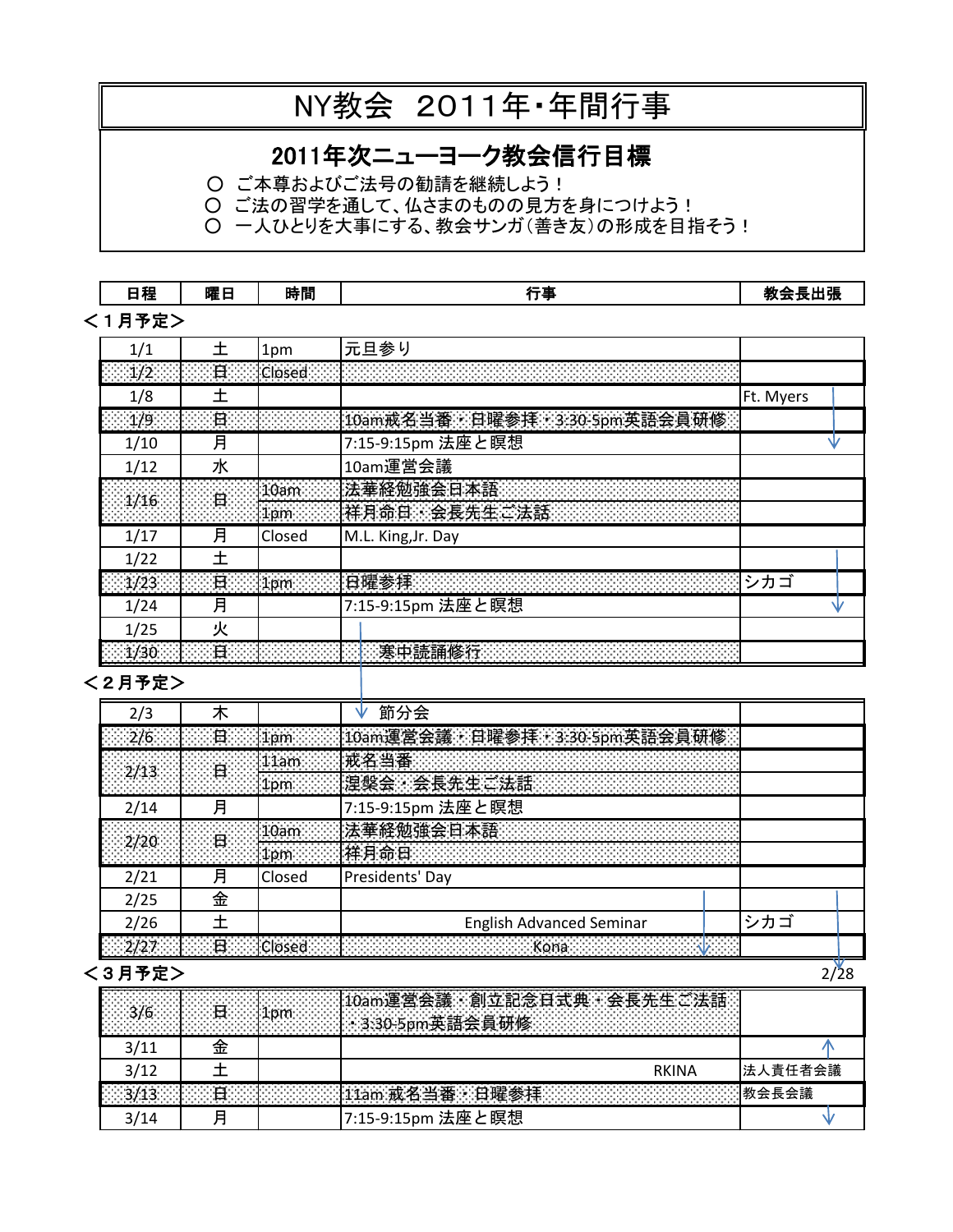# NY教会 2011年・年間行事

# 2011年次ニューヨーク教会信行目標

○ ご本尊およびご法号の勧請を継続しよう!

○ ご法の習学を通して、仏さまのものの見方を身につけよう!

○ 一人ひとりを大事にする、教会サンガ(善き友)の形成を目指そう!

#### 日程 曜日 時間 行事 教会長出張 <1月予定> 1/1 | 土 |1pm |元旦参り 1/2 日 Closed 8888888 1/8 土 土 Linux Linux Linux Linux Linux Linux Linux Linux Linux Linux Linux Linux Linux Linux Linux Linux Linux L 1/9 日 10am戒名当番・日曜参拝・3:30-5pm英語会員研修 1/10 月 7:15-9:15pm 法座と瞑想 ∿ 1/12 | 水 | | | 10am運営会議 10am 法華経勉強会日本語 1/16 日 1pm 祥月命日 会長先生ご法話 1/17 | 月 | Closed | M.L. King, Jr. Day  $1/22$   $\pm$ - 1/23 日 - 100 日 - 100 日 - 100 日 - 100 日 - 100 日 - 100 日 - 100 日 - 100 日 - 100 日 - 100 日 - 100 日 - 100 日 - 100 1/24 月 | 7:15-9:15pm 法座と瞑想 ∿  $1/25$  火 1/30 日 日 日 日 日 日 日 日 日 日 東中読誦修行

#### <2月予定>

| 2/3                                                                                                                                                                                                                                                                                                             |   |        | 節分会                                       |     |  |
|-----------------------------------------------------------------------------------------------------------------------------------------------------------------------------------------------------------------------------------------------------------------------------------------------------------------|---|--------|-------------------------------------------|-----|--|
|                                                                                                                                                                                                                                                                                                                 |   |        | 226 年 日 10m 10m 連合会議 日曜参拝 3:30-5pm        |     |  |
|                                                                                                                                                                                                                                                                                                                 |   |        | lam  根名当番                                 |     |  |
|                                                                                                                                                                                                                                                                                                                 |   |        |                                           |     |  |
| 2/14                                                                                                                                                                                                                                                                                                            | 月 |        | 7:15-9:15pm 法座と瞑想                         |     |  |
|                                                                                                                                                                                                                                                                                                                 |   |        |                                           |     |  |
|                                                                                                                                                                                                                                                                                                                 |   |        |                                           |     |  |
| 2/21                                                                                                                                                                                                                                                                                                            | 月 | Closed | Presidents' Day                           |     |  |
| 2/25                                                                                                                                                                                                                                                                                                            | 金 |        |                                           |     |  |
| 2/26                                                                                                                                                                                                                                                                                                            |   |        | <b>English Advanced Seminar</b>           | シカゴ |  |
| $\sqrt{2/27}$ $\sqrt{2}$ $\sqrt{2}$ $\sqrt{2}$ $\sqrt{2}$ $\sqrt{2}$ $\sqrt{2}$ $\sqrt{2}$ $\sqrt{2}$ $\sqrt{2}$ $\sqrt{2}$ $\sqrt{2}$ $\sqrt{2}$ $\sqrt{2}$ $\sqrt{2}$ $\sqrt{2}$ $\sqrt{2}$ $\sqrt{2}$ $\sqrt{2}$ $\sqrt{2}$ $\sqrt{2}$ $\sqrt{2}$ $\sqrt{2}$ $\sqrt{2}$ $\sqrt{2}$ $\sqrt{2}$ $\sqrt{2}$ $\$ |   |        | <b>A Martin Core (Core A Martin Core)</b> |     |  |

## $\langle 3$ 月予定 $>$  2/28

|      |   | 」会員<br>and dealers of the second<br>яка                        |         |
|------|---|----------------------------------------------------------------|---------|
| 3/11 |   |                                                                |         |
| 3/12 |   | RKINA                                                          | 法人責任者会議 |
|      | - | 、日曜衾拝<br><b>张德德的张德德德德德的《唐教会長会議</b><br>$\neg$ $\alpha$ $\equiv$ |         |
| 3/14 | Ε | 17:15-9:15pm 法座と瞑想                                             |         |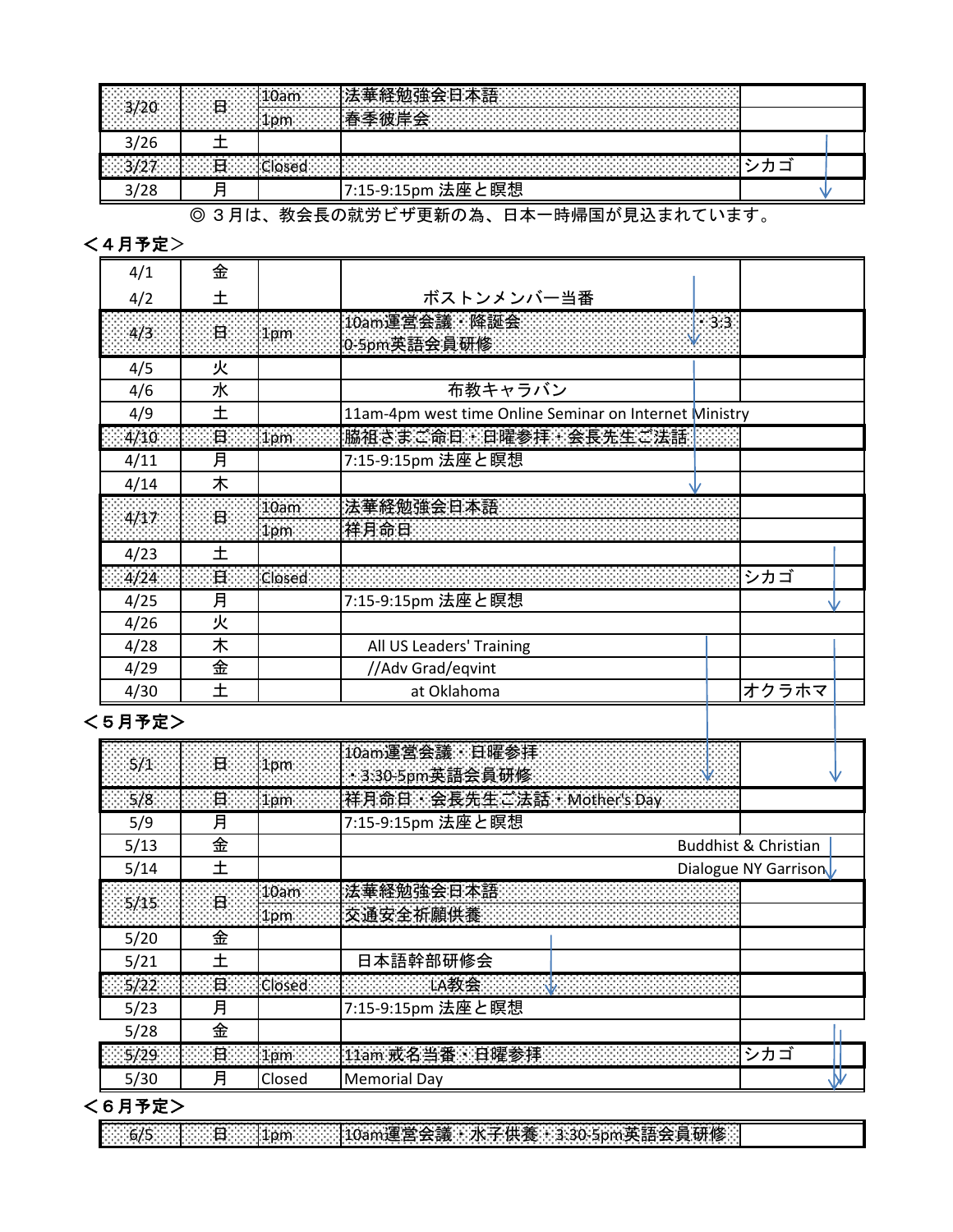|                                     | -----<br>ы<br>.<br>. HV<br>ጎጡ                                          |  |
|-------------------------------------|------------------------------------------------------------------------|--|
| $\vert$ 3,                          | <i>∴</i> ∴ ¨ ¨ ¨ ¨ ま奉彼ा"<br>--                                         |  |
| 3/26                                |                                                                        |  |
| $\mathsf{L}$ 2/27 $\mathsf{L}$<br>. | <b>Closed</b><br>.<br>.<br>the company's company's company's<br>.<br>. |  |
|                                     | :と瞑想<br>法座<br>7:15-9:15pm                                              |  |

#### ◎ 3月は、教会長の就労ビザ更新の為、日本一時帰国が見込まれています。

#### <4月予定>

| 4/1  | 金              |                 |                                                        |        |       |  |
|------|----------------|-----------------|--------------------------------------------------------|--------|-------|--|
| 4/2  | ┿              |                 | ボストンメンバー当番                                             |        |       |  |
| 4/3  | $\mathbf{H}$   | 1 <sub>pm</sub> | 10am運営会議 · 降誕会<br>0-5pm英語会員研修                          | $-3:3$ |       |  |
| 4/5  | 火              |                 |                                                        |        |       |  |
| 4/6  | 水              |                 | 布教キャラバン                                                |        |       |  |
| 4/9  | 土              |                 | 11am-4pm west time Online Seminar on Internet Ministry |        |       |  |
| 4/10 | $\boxminus$    | 1 <sub>pm</sub> | 脇祖さまご命日、日曜参拝、会長先生ご法話                                   |        |       |  |
| 4/11 | 月              |                 | 7:15-9:15pm 法座と瞑想                                      |        |       |  |
| 4/14 | 木              |                 |                                                        |        |       |  |
| 4/17 | $\overline{H}$ | 10am            | 法華経勉強会日本語                                              |        |       |  |
|      |                | lipm            | 样月命日                                                   |        |       |  |
| 4/23 | 土              |                 |                                                        |        |       |  |
| 4/24 | 日              | Closed          |                                                        |        | シカゴ   |  |
| 4/25 | 月              |                 | 7:15-9:15pm 法座と瞑想                                      |        |       |  |
| 4/26 | 火              |                 |                                                        |        |       |  |
| 4/28 | 木              |                 | All US Leaders' Training                               |        |       |  |
| 4/29 | 金              |                 | //Adv Grad/eqvint                                      |        |       |  |
| 4/30 | 土              |                 | at Oklahoma                                            |        | オクラホマ |  |

# <5月予定>

| $5/1$ $\qquad$ $\qquad$ $\qquad$ $\qquad$ $\qquad$ $\qquad$ $\qquad$ $\qquad$ $\qquad$ $\qquad$ $\qquad$ $\qquad$ $\qquad$ $\qquad$ $\qquad$ $\qquad$ $\qquad$ $\qquad$ $\qquad$ $\qquad$ $\qquad$ $\qquad$ $\qquad$ $\qquad$ $\qquad$ $\qquad$ $\qquad$ $\qquad$ $\qquad$ $\qquad$ $\qquad$ $\qquad$ $\qquad$ $\qquad$ $\qquad$ $\qquad$ |                | 1pm             | 10am運営会議 日曜参拝<br>3:30-5pm 英語会員研修 |                                 |
|-------------------------------------------------------------------------------------------------------------------------------------------------------------------------------------------------------------------------------------------------------------------------------------------------------------------------------------------|----------------|-----------------|----------------------------------|---------------------------------|
| $\sqrt{5/8}$                                                                                                                                                                                                                                                                                                                              | 一日             | $ 1$ pm         | 样月命日 会長先生ご法話 Mother's Day        |                                 |
| 5/9                                                                                                                                                                                                                                                                                                                                       | 月              |                 | 7:15-9:15pm 法座と瞑想                |                                 |
| 5/13                                                                                                                                                                                                                                                                                                                                      | 金              |                 |                                  | <b>Buddhist &amp; Christian</b> |
| 5/14                                                                                                                                                                                                                                                                                                                                      | ┿              |                 |                                  | Dialogue NY Garrison            |
| 5/15                                                                                                                                                                                                                                                                                                                                      |                | 0am             | 法華経勉強会日本語                        |                                 |
|                                                                                                                                                                                                                                                                                                                                           | $\Box$         | 1pm             | 交通安全祈願供養                         |                                 |
| 5/20                                                                                                                                                                                                                                                                                                                                      | 金              |                 |                                  |                                 |
| 5/21                                                                                                                                                                                                                                                                                                                                      | ᆠ              |                 | 日本語幹部研修会                         |                                 |
| 5/22                                                                                                                                                                                                                                                                                                                                      | $\blacksquare$ | <b>Closed</b>   | <b>【大学的学习和教会会会会议》,我们</b>         |                                 |
| 5/23                                                                                                                                                                                                                                                                                                                                      | 月              |                 | 7:15-9:15pm 法座と瞑想                |                                 |
| 5/28                                                                                                                                                                                                                                                                                                                                      | 金              |                 |                                  |                                 |
| 5/29                                                                                                                                                                                                                                                                                                                                      | $\mathbf{H}$   | 1 <sub>pm</sub> |                                  | シカゴ                             |
| 5/30                                                                                                                                                                                                                                                                                                                                      | 月              | Closed          | <b>Memorial Day</b>              |                                 |

## <6月予定>

576/5 日 日 1pm 10am運営会議 水子供養 3:30-5pm英語会員研修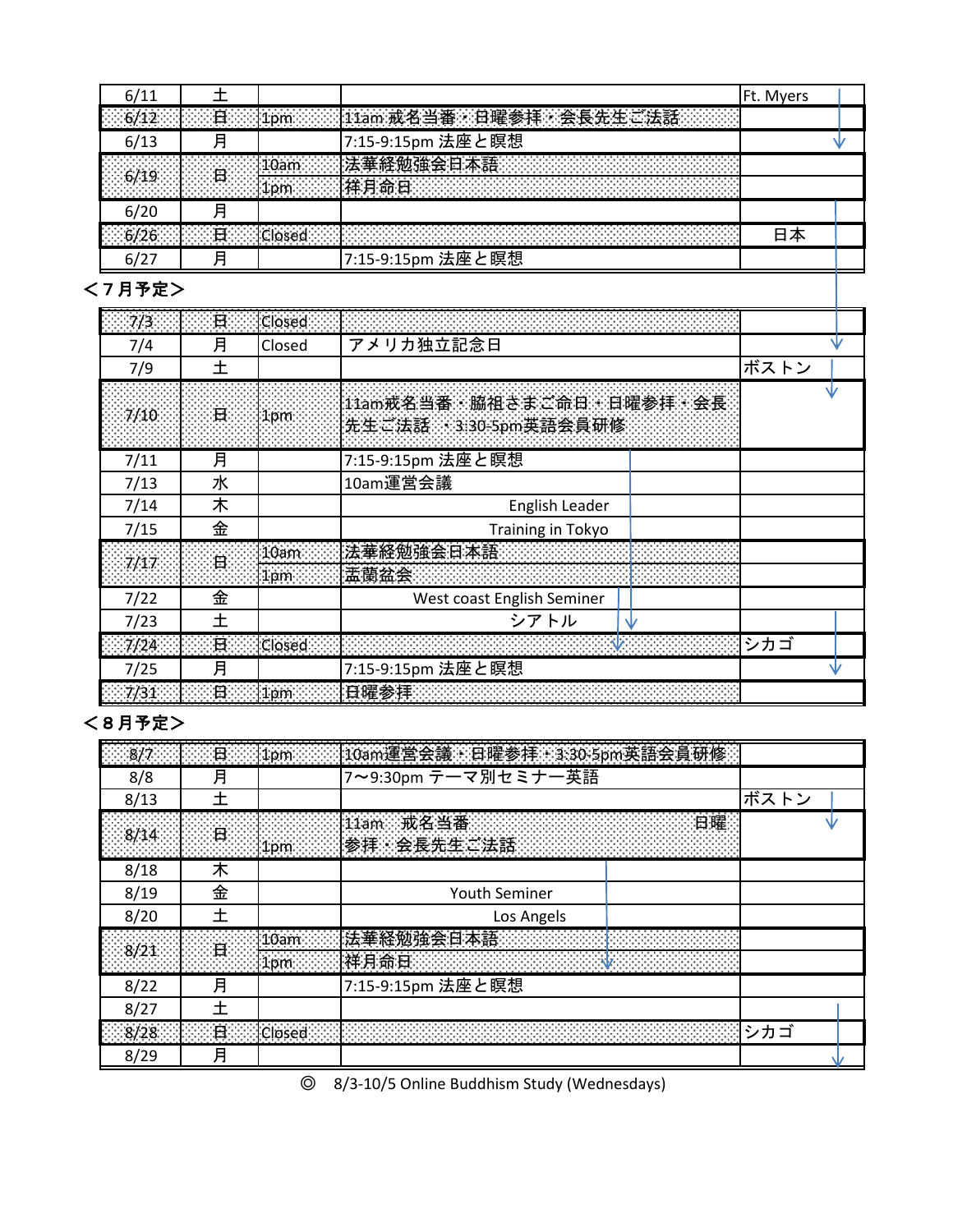|      |       |                                   |                                                                                                                | <b>IFt. Myers</b> |  |
|------|-------|-----------------------------------|----------------------------------------------------------------------------------------------------------------|-------------------|--|
|      | ∽ீ∄‱ு | $\sim$ $\sim$                     | <b>Second Tram at 2</b><br>拝・会長先生ご法                                                                            |                   |  |
| 6/13 |       |                                   | 7:15-9:15pm 法座と瞑想                                                                                              |                   |  |
|      |       | 第20am 法華経勉                        | 強会日本語                                                                                                          |                   |  |
|      | .     |                                   | 1900 - An Dùbhlachd ann an Chomain ann an Chomain an Chomain ann an Chomain an Chomain ann an Chomain an Choma |                   |  |
| 6/20 |       |                                   |                                                                                                                |                   |  |
|      |       | <b>Horath Britan Closed Start</b> |                                                                                                                |                   |  |
|      |       |                                   | 7:15-9:15pm 法座と瞑想                                                                                              |                   |  |

# <7月予定>

| 7/3  | $\Box$ | <b>Closed</b> |                                                 |      |  |
|------|--------|---------------|-------------------------------------------------|------|--|
| 7/4  | 月      | Closed        | アメリカ独立記念日                                       |      |  |
| 7/9  |        |               |                                                 | ボストン |  |
| 7/10 | 日      | 1pm           | 11am或名当番、脇祖さまご命日 日曜参拝 会長<br>先生ご法話 330-5pm英語会員研修 |      |  |
| 7/11 | 月      |               | 7:15-9:15pm 法座と瞑想                               |      |  |
| 7/13 | 水      |               | 10am運営会議                                        |      |  |
| 7/14 | 木      |               | English Leader                                  |      |  |
| 7/15 | 金      |               | Training in Tokyo                               |      |  |
| 7/17 | $\Box$ | 10am          | 法華経勉強会日本語                                       |      |  |
|      |        | 1pm           | 盂蘭盆会                                            |      |  |
| 7/22 | 金      |               | West coast English Seminer                      |      |  |
| 7/23 |        |               | シアトル                                            |      |  |
| 7/24 | H.     | Closed        |                                                 | シカゴ  |  |
| 7/25 | 月      |               | 7:15-9:15pm 法座と瞑想                               |      |  |
| 7/31 | 日      | 1pm           |                                                 |      |  |

# <8月予定>

|      | 日              |      | 1pm   10am運営会議・日曜参拝・3:30-5pm英語会員研               |      |  |
|------|----------------|------|-------------------------------------------------|------|--|
| 8/8  | 月              |      | 7~9:30pm テーマ別セミナー英語                             |      |  |
| 8/13 |                |      |                                                 | ボストン |  |
| 8/14 | ਂ ਬ<br>.       |      | 11am 戒名当番:<br><b>1999年10月11日</b><br>参拝《会長先生ご法語》 |      |  |
| 8/18 | 木              |      |                                                 |      |  |
| 8/19 | 金              |      | Youth Seminer                                   |      |  |
| 8/20 |                |      | Los Angels                                      |      |  |
| 8/21 | 日              | 10am | 祥月命日                                            |      |  |
| 8/22 | 月              |      | 7:15-9:15pm 法座と瞑想                               |      |  |
| 8/27 |                |      |                                                 |      |  |
| 8/28 | $\overline{H}$ |      |                                                 | シカゴ  |  |
| 8/29 | 月              |      |                                                 |      |  |

◎ 8/3-10/5 Online Buddhism Study (Wednesdays)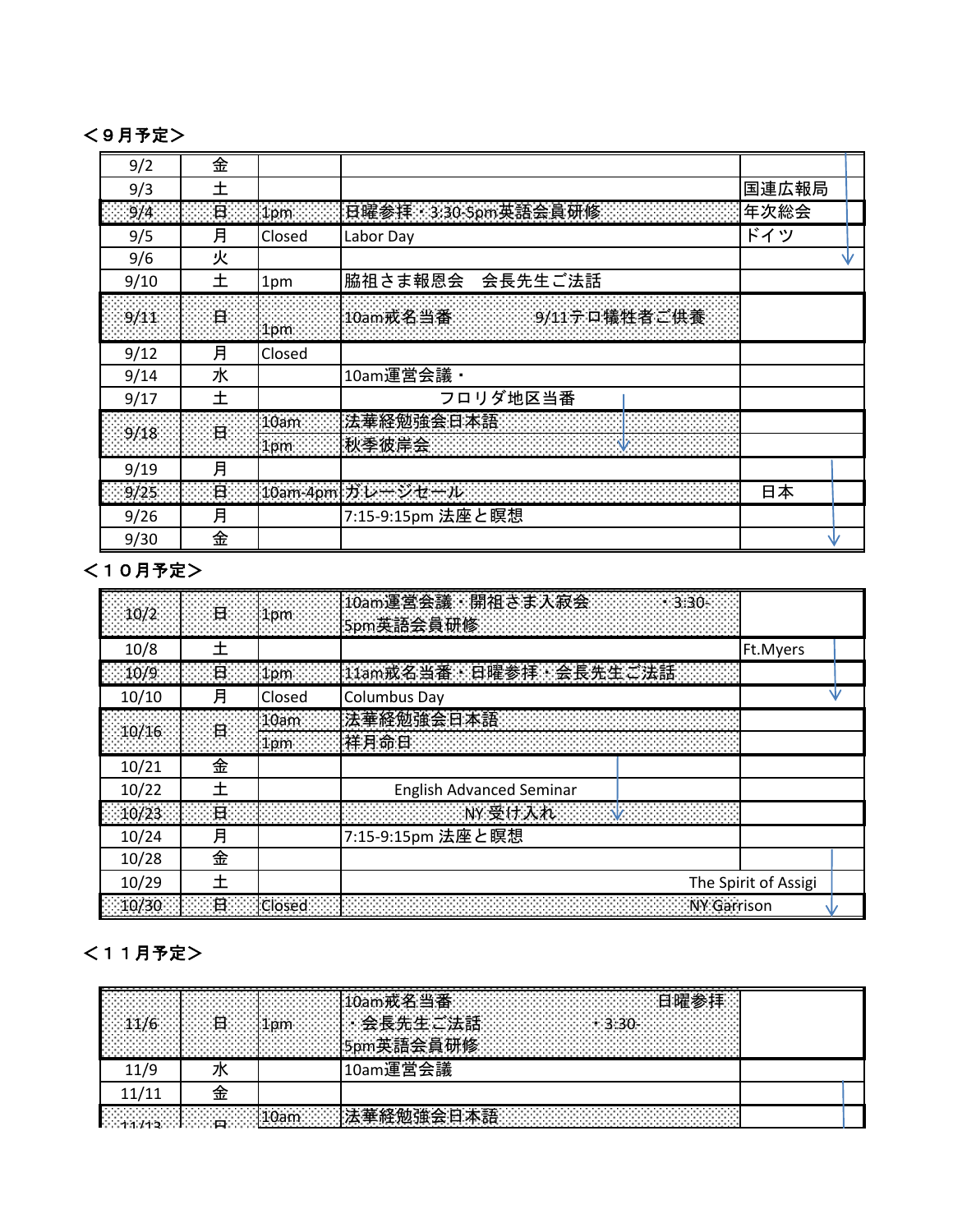#### <9月予定>

| 9/2  | 金              |                 |                       |       |    |
|------|----------------|-----------------|-----------------------|-------|----|
| 9/3  | 土              |                 |                       | 国連広報局 |    |
| 9/4  | 日              | 1 <sub>pm</sub> | 日曜参拝 3:30-5pm英語会員研修:  | 年次総会  |    |
| 9/5  | 月              | Closed          | Labor Day             | ドイツ   |    |
| 9/6  | 火              |                 |                       |       | NZ |
| 9/10 | 土              | 1pm             | 脇祖さま報恩会<br>会長先生ご法話    |       |    |
| 9/11 | $\blacksquare$ | 1 <sub>pm</sub> | 10am或名当番 9/11テロ犠牲者ご供養 |       |    |
| 9/12 | 月              | Closed          |                       |       |    |
| 9/14 | 水              |                 | 10am運営会議 ·            |       |    |
| 9/17 | 土              |                 | フロリダ地区当番              |       |    |
| 9/18 | $\mathbf{H}$   | 10am            | 法華経勉強会日本語             |       |    |
|      |                | 1pm             | 秋季彼岸会                 |       |    |
| 9/19 | 月              |                 |                       |       |    |
| 9/25 | $\mathbf{H}$   |                 | 10am-4pm  ガレージセール     | 日本    |    |
| 9/26 | 月              |                 | 7:15-9:15pm 法座と瞑想     |       |    |
| 9/30 | 金              |                 |                       |       |    |

## <10月予定>

|       | $10/2$ $\Box$ $\Box$ $1$ pm                      |               | 10am連営会議: 開祖さま入寂会 2022-23:30-<br>5pm英語会員研修 2000年10月10日                                                                                                                                                                              |                      |  |
|-------|--------------------------------------------------|---------------|-------------------------------------------------------------------------------------------------------------------------------------------------------------------------------------------------------------------------------------|----------------------|--|
| 10/8  | ╈                                                |               |                                                                                                                                                                                                                                     | Ft.Myers             |  |
| 10/9  | $\Box$ $\Box$ $\Box$ $\Box$ $\Box$ $\Box$ $\Box$ |               | 11am或名当番、日曜参拝・会長先生ご法話:                                                                                                                                                                                                              |                      |  |
| 10/10 | 月                                                | Closed        | <b>Columbus Day</b>                                                                                                                                                                                                                 |                      |  |
| 10/16 | $\Box$                                           | 10am          | 法華経勉強会日本語:<br>样月命日                                                                                                                                                                                                                  |                      |  |
| 10/21 | 金                                                |               |                                                                                                                                                                                                                                     |                      |  |
| 10/22 |                                                  |               | <b>English Advanced Seminar</b>                                                                                                                                                                                                     |                      |  |
| 10/23 | $\blacksquare$                                   |               | <b>《中国学院》 《中国学院》 《中国学院》 《中国学院》 《中国学院》 《中国学院》 《中国学院》 《中国学院》 《中国学院》 《中国学院》 《中国学院》 《中国学院》 《中国学院》 《中国学院》 《中国学院》 《中国学院》 《中国学院》 《中国学院》 《中国学院》 《中国学院》 《中国学院》 《中国学院》 《中国学院》 《中国学院》 《中国学院》 《中国学院》 《中国学院》 《中国学院》 《中国学院》 《中国学院》 《中国学院》 《中国</b> |                      |  |
| 10/24 | 月                                                |               | 7:15-9:15pm 法座と瞑想                                                                                                                                                                                                                   |                      |  |
| 10/28 | 金                                                |               |                                                                                                                                                                                                                                     |                      |  |
| 10/29 | ┿                                                |               |                                                                                                                                                                                                                                     | The Spirit of Assigi |  |
| 10/30 | H                                                | <b>Closed</b> | NY Garrison                                                                                                                                                                                                                         |                      |  |

# <11月予定>

| .<br>.<br>.<br>.<br>.<br>.<br>.<br>. .<br>.<br><b>1999年,我们的人们的人们的人们的人们的人们,我们也不能</b> 是<br>.<br>.<br>. | nm .<br>ாட          | _____<br>، جگ<br>commentations in <b>日曜</b><br>番<br><i>`#ऍ 2</i> 4 当.<br>≔ הי<br>_<br>the company's company's company's company's<br>合套生生 计注注<br>$\sim$ $\sim$ 2.20.<br>.<br>. .<br>.<br>.<br>.<br>--<br>.<br>.<br><b>i研修</b><br>.<br>.<br>.<br>. |  |
|------------------------------------------------------------------------------------------------------|---------------------|---------------------------------------------------------------------------------------------------------------------------------------------------------------------------------------------------------------------------------------------------|--|
|                                                                                                      |                     | 会議<br>運<br>冝                                                                                                                                                                                                                                      |  |
|                                                                                                      |                     |                                                                                                                                                                                                                                                   |  |
| .<br>an basan di sebagai sebagai ke<br>$1/12$ $\Box$<br>and the contract of the contract of<br>.     | $1102$ $\sim$ $132$ | <b>勉強</b><br>垂経.<br>∼⊟க<br>스<br>_<br>.<br>. .<br>.                                                                                                                                                                                                |  |